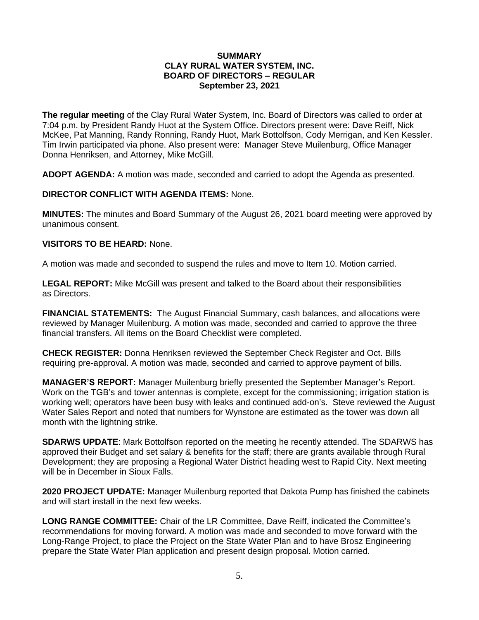## **SUMMARY CLAY RURAL WATER SYSTEM, INC. BOARD OF DIRECTORS – REGULAR September 23, 2021**

**The regular meeting** of the Clay Rural Water System, Inc. Board of Directors was called to order at 7:04 p.m. by President Randy Huot at the System Office. Directors present were: Dave Reiff, Nick McKee, Pat Manning, Randy Ronning, Randy Huot, Mark Bottolfson, Cody Merrigan, and Ken Kessler. Tim Irwin participated via phone. Also present were: Manager Steve Muilenburg, Office Manager Donna Henriksen, and Attorney, Mike McGill.

**ADOPT AGENDA:** A motion was made, seconded and carried to adopt the Agenda as presented.

**DIRECTOR CONFLICT WITH AGENDA ITEMS:** None.

**MINUTES:** The minutes and Board Summary of the August 26, 2021 board meeting were approved by unanimous consent.

**VISITORS TO BE HEARD:** None.

A motion was made and seconded to suspend the rules and move to Item 10. Motion carried.

**LEGAL REPORT:** Mike McGill was present and talked to the Board about their responsibilities as Directors.

**FINANCIAL STATEMENTS:** The August Financial Summary, cash balances, and allocations were reviewed by Manager Muilenburg. A motion was made, seconded and carried to approve the three financial transfers. All items on the Board Checklist were completed.

**CHECK REGISTER:** Donna Henriksen reviewed the September Check Register and Oct. Bills requiring pre-approval. A motion was made, seconded and carried to approve payment of bills.

**MANAGER'S REPORT:** Manager Muilenburg briefly presented the September Manager's Report. Work on the TGB's and tower antennas is complete, except for the commissioning; irrigation station is working well; operators have been busy with leaks and continued add-on's. Steve reviewed the August Water Sales Report and noted that numbers for Wynstone are estimated as the tower was down all month with the lightning strike.

**SDARWS UPDATE**: Mark Bottolfson reported on the meeting he recently attended. The SDARWS has approved their Budget and set salary & benefits for the staff; there are grants available through Rural Development; they are proposing a Regional Water District heading west to Rapid City. Next meeting will be in December in Sioux Falls.

**2020 PROJECT UPDATE:** Manager Muilenburg reported that Dakota Pump has finished the cabinets and will start install in the next few weeks.

**LONG RANGE COMMITTEE:** Chair of the LR Committee, Dave Reiff, indicated the Committee's recommendations for moving forward. A motion was made and seconded to move forward with the Long-Range Project, to place the Project on the State Water Plan and to have Brosz Engineering prepare the State Water Plan application and present design proposal. Motion carried.